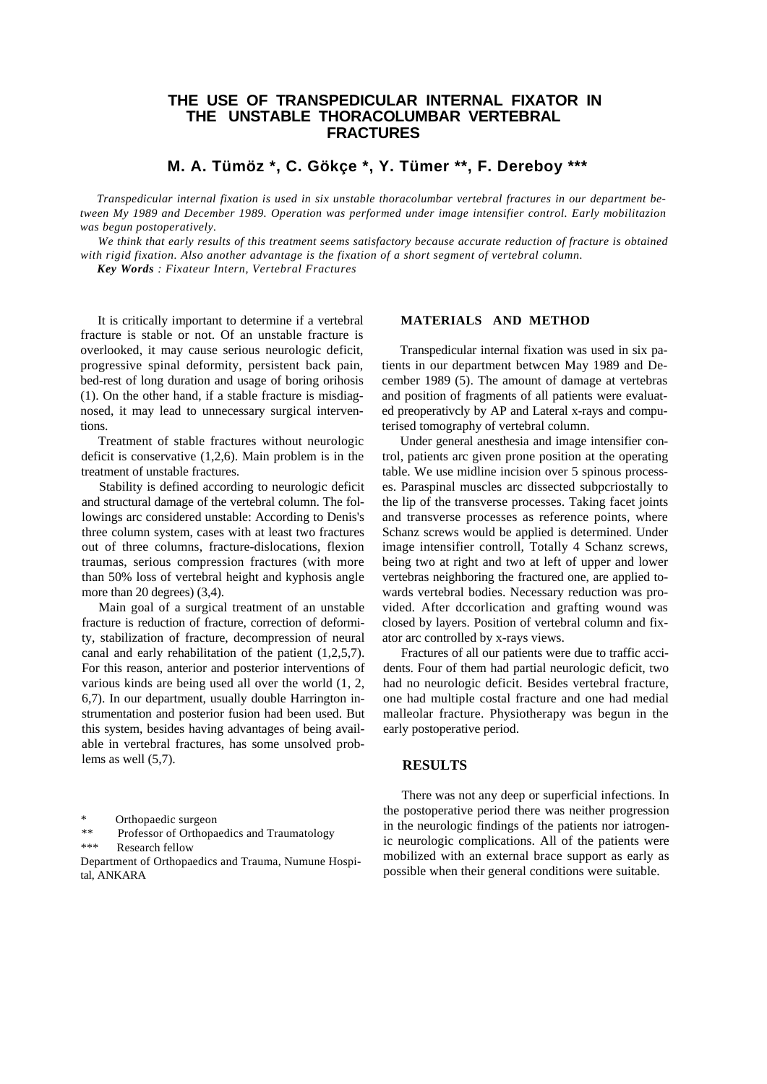# **THE USE OF TRANSPEDICULAR INTERNAL FIXATOR IN THE UNSTABLE THORACOLUMBAR VERTEBRAL FRACTURES**

**M. A. Tümöz \*, C. Gökçe \*, Y. Tümer \*\*, F. Dereboy \*\*\***

*Transpedicular internal fixation is used in six unstable thoracolumbar vertebral fractures in our department between My 1989 and December 1989. Operation was performed under image intensifier control. Early mobilitazion was begun postoperatively.*

We think that early results of this treatment seems satisfactory because accurate reduction of fracture is obtained *with rigid fixation. Also another advantage is the fixation of a short segment of vertebral column.*

*Key Words : Fixateur Intern, Vertebral Fractures*

It is critically important to determine if a vertebral fracture is stable or not. Of an unstable fracture is overlooked, it may cause serious neurologic deficit, progressive spinal deformity, persistent back pain, bed-rest of long duration and usage of boring orihosis (1). On the other hand, if a stable fracture is misdiagnosed, it may lead to unnecessary surgical interventions.

Treatment of stable fractures without neurologic deficit is conservative (1,2,6). Main problem is in the treatment of unstable fractures.

Stability is defined according to neurologic deficit and structural damage of the vertebral column. The followings arc considered unstable: According to Denis's three column system, cases with at least two fractures out of three columns, fracture-dislocations, flexion traumas, serious compression fractures (with more than 50% loss of vertebral height and kyphosis angle more than 20 degrees) (3,4).

Main goal of a surgical treatment of an unstable fracture is reduction of fracture, correction of deformity, stabilization of fracture, decompression of neural canal and early rehabilitation of the patient (1,2,5,7). For this reason, anterior and posterior interventions of various kinds are being used all over the world (1, 2, 6,7). In our department, usually double Harrington instrumentation and posterior fusion had been used. But this system, besides having advantages of being available in vertebral fractures, has some unsolved problems as well (5,7).

Department of Orthopaedics and Trauma, Numune Hospital, ANKARA

## **MATERIALS AND METHOD**

Transpedicular internal fixation was used in six patients in our department betwcen May 1989 and December 1989 (5). The amount of damage at vertebras and position of fragments of all patients were evaluated preoperativcly by AP and Lateral x-rays and computerised tomography of vertebral column.

Under general anesthesia and image intensifier control, patients arc given prone position at the operating table. We use midline incision over 5 spinous processes. Paraspinal muscles arc dissected subpcriostally to the lip of the transverse processes. Taking facet joints and transverse processes as reference points, where Schanz screws would be applied is determined. Under image intensifier controll, Totally 4 Schanz screws, being two at right and two at left of upper and lower vertebras neighboring the fractured one, are applied towards vertebral bodies. Necessary reduction was provided. After dccorlication and grafting wound was closed by layers. Position of vertebral column and fixator arc controlled by x-rays views.

Fractures of all our patients were due to traffic accidents. Four of them had partial neurologic deficit, two had no neurologic deficit. Besides vertebral fracture, one had multiple costal fracture and one had medial malleolar fracture. Physiotherapy was begun in the early postoperative period.

## **RESULTS**

There was not any deep or superficial infections. In the postoperative period there was neither progression in the neurologic findings of the patients nor iatrogenic neurologic complications. All of the patients were mobilized with an external brace support as early as possible when their general conditions were suitable.

<sup>\*</sup> Orthopaedic surgeon

*<sup>\*\*</sup>* Professor of Orthopaedics and Traumatology

<sup>\*\*\*</sup> Research fellow